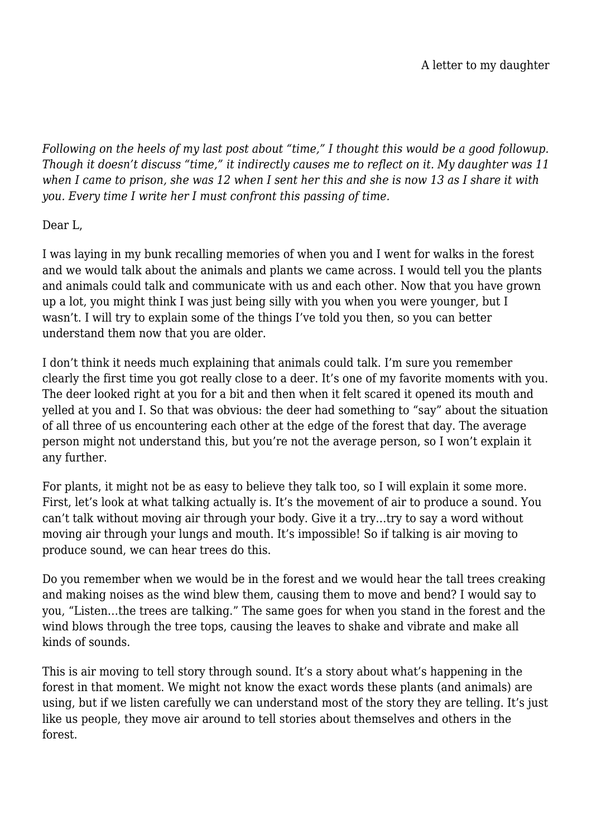*Following on the heels of my last post about "time," I thought this would be a good followup. Though it doesn't discuss "time," it indirectly causes me to reflect on it. My daughter was 11 when I came to prison, she was 12 when I sent her this and she is now 13 as I share it with you. Every time I write her I must confront this passing of time.*

Dear L,

I was laying in my bunk recalling memories of when you and I went for walks in the forest and we would talk about the animals and plants we came across. I would tell you the plants and animals could talk and communicate with us and each other. Now that you have grown up a lot, you might think I was just being silly with you when you were younger, but I wasn't. I will try to explain some of the things I've told you then, so you can better understand them now that you are older.

I don't think it needs much explaining that animals could talk. I'm sure you remember clearly the first time you got really close to a deer. It's one of my favorite moments with you. The deer looked right at you for a bit and then when it felt scared it opened its mouth and yelled at you and I. So that was obvious: the deer had something to "say" about the situation of all three of us encountering each other at the edge of the forest that day. The average person might not understand this, but you're not the average person, so I won't explain it any further.

For plants, it might not be as easy to believe they talk too, so I will explain it some more. First, let's look at what talking actually is. It's the movement of air to produce a sound. You can't talk without moving air through your body. Give it a try…try to say a word without moving air through your lungs and mouth. It's impossible! So if talking is air moving to produce sound, we can hear trees do this.

Do you remember when we would be in the forest and we would hear the tall trees creaking and making noises as the wind blew them, causing them to move and bend? I would say to you, "Listen…the trees are talking." The same goes for when you stand in the forest and the wind blows through the tree tops, causing the leaves to shake and vibrate and make all kinds of sounds.

This is air moving to tell story through sound. It's a story about what's happening in the forest in that moment. We might not know the exact words these plants (and animals) are using, but if we listen carefully we can understand most of the story they are telling. It's just like us people, they move air around to tell stories about themselves and others in the forest.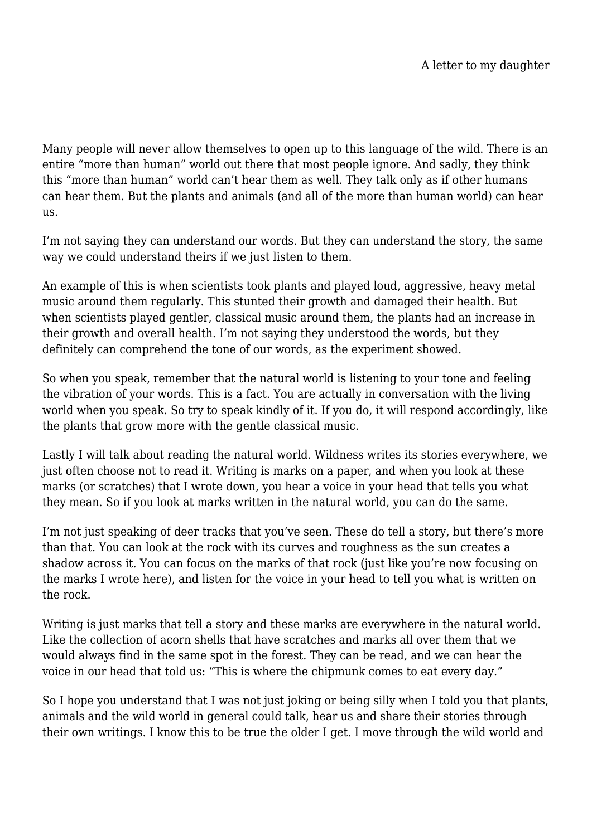Many people will never allow themselves to open up to this language of the wild. There is an entire "more than human" world out there that most people ignore. And sadly, they think this "more than human" world can't hear them as well. They talk only as if other humans can hear them. But the plants and animals (and all of the more than human world) can hear us.

I'm not saying they can understand our words. But they can understand the story, the same way we could understand theirs if we just listen to them.

An example of this is when scientists took plants and played loud, aggressive, heavy metal music around them regularly. This stunted their growth and damaged their health. But when scientists played gentler, classical music around them, the plants had an increase in their growth and overall health. I'm not saying they understood the words, but they definitely can comprehend the tone of our words, as the experiment showed.

So when you speak, remember that the natural world is listening to your tone and feeling the vibration of your words. This is a fact. You are actually in conversation with the living world when you speak. So try to speak kindly of it. If you do, it will respond accordingly, like the plants that grow more with the gentle classical music.

Lastly I will talk about reading the natural world. Wildness writes its stories everywhere, we just often choose not to read it. Writing is marks on a paper, and when you look at these marks (or scratches) that I wrote down, you hear a voice in your head that tells you what they mean. So if you look at marks written in the natural world, you can do the same.

I'm not just speaking of deer tracks that you've seen. These do tell a story, but there's more than that. You can look at the rock with its curves and roughness as the sun creates a shadow across it. You can focus on the marks of that rock (just like you're now focusing on the marks I wrote here), and listen for the voice in your head to tell you what is written on the rock.

Writing is just marks that tell a story and these marks are everywhere in the natural world. Like the collection of acorn shells that have scratches and marks all over them that we would always find in the same spot in the forest. They can be read, and we can hear the voice in our head that told us: "This is where the chipmunk comes to eat every day."

So I hope you understand that I was not just joking or being silly when I told you that plants, animals and the wild world in general could talk, hear us and share their stories through their own writings. I know this to be true the older I get. I move through the wild world and